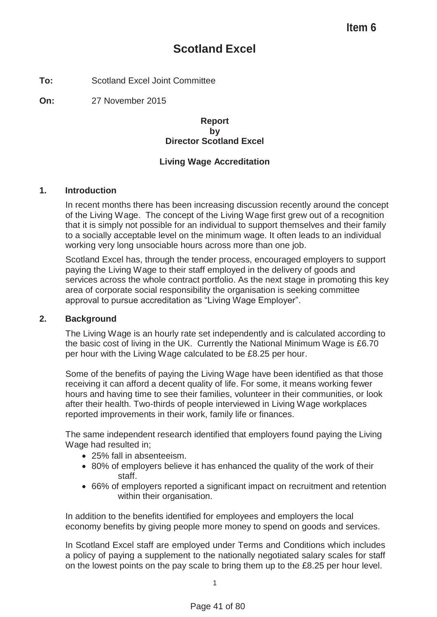# **Scotland Excel**

**To:** Scotland Excel Joint Committee

**On:** 27 November 2015

### **Report by Director Scotland Excel**

## **Living Wage Accreditation**

### **1. Introduction**

In recent months there has been increasing discussion recently around the concept of the Living Wage. The concept of the Living Wage first grew out of a recognition that it is simply not possible for an individual to support themselves and their family to a socially acceptable level on the minimum wage. It often leads to an individual working very long unsociable hours across more than one job.

Scotland Excel has, through the tender process, encouraged employers to support paying the Living Wage to their staff employed in the delivery of goods and services across the whole contract portfolio. As the next stage in promoting this key area of corporate social responsibility the organisation is seeking committee approval to pursue accreditation as "Living Wage Employer".

#### **2. Background**

The Living Wage is an hourly rate set independently and is calculated according to the basic cost of living in the UK. Currently the National Minimum Wage is £6.70 per hour with the Living Wage calculated to be £8.25 per hour.

Some of the benefits of paying the Living Wage have been identified as that those receiving it can afford a decent quality of life. For some, it means working fewer hours and having time to see their families, volunteer in their communities, or look after their health. Two-thirds of people interviewed in Living Wage workplaces reported improvements in their work, family life or finances.

The same independent research identified that employers found paying the Living Wage had resulted in;

- 25% fall in absenteeism.
- 80% of employers believe it has enhanced the quality of the work of their staff.
- 66% of employers reported a significant impact on recruitment and retention within their organisation.

In addition to the benefits identified for employees and employers the local economy benefits by giving people more money to spend on goods and services.

In Scotland Excel staff are employed under Terms and Conditions which includes a policy of paying a supplement to the nationally negotiated salary scales for staff on the lowest points on the pay scale to bring them up to the £8.25 per hour level.